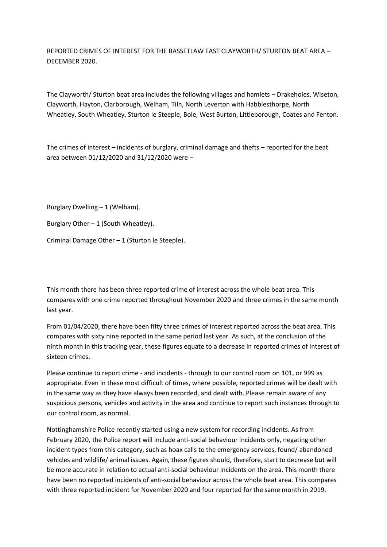REPORTED CRIMES OF INTEREST FOR THE BASSETLAW EAST CLAYWORTH/ STURTON BEAT AREA – DECEMBER 2020.

The Clayworth/ Sturton beat area includes the following villages and hamlets – Drakeholes, Wiseton, Clayworth, Hayton, Clarborough, Welham, Tiln, North Leverton with Habblesthorpe, North Wheatley, South Wheatley, Sturton le Steeple, Bole, West Burton, Littleborough, Coates and Fenton.

The crimes of interest – incidents of burglary, criminal damage and thefts – reported for the beat area between 01/12/2020 and 31/12/2020 were –

Burglary Dwelling – 1 (Welham).

Burglary Other  $-1$  (South Wheatley).

Criminal Damage Other – 1 (Sturton le Steeple).

This month there has been three reported crime of interest across the whole beat area. This compares with one crime reported throughout November 2020 and three crimes in the same month last year.

From 01/04/2020, there have been fifty three crimes of interest reported across the beat area. This compares with sixty nine reported in the same period last year. As such, at the conclusion of the ninth month in this tracking year, these figures equate to a decrease in reported crimes of interest of sixteen crimes.

Please continue to report crime - and incidents - through to our control room on 101, or 999 as appropriate. Even in these most difficult of times, where possible, reported crimes will be dealt with in the same way as they have always been recorded, and dealt with. Please remain aware of any suspicious persons, vehicles and activity in the area and continue to report such instances through to our control room, as normal.

Nottinghamshire Police recently started using a new system for recording incidents. As from February 2020, the Police report will include anti-social behaviour incidents only, negating other incident types from this category, such as hoax calls to the emergency services, found/ abandoned vehicles and wildlife/ animal issues. Again, these figures should, therefore, start to decrease but will be more accurate in relation to actual anti-social behaviour incidents on the area. This month there have been no reported incidents of anti-social behaviour across the whole beat area. This compares with three reported incident for November 2020 and four reported for the same month in 2019.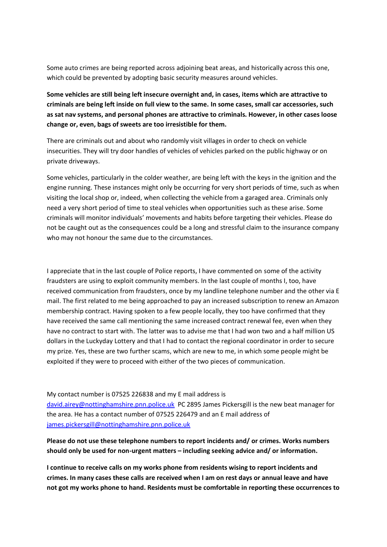Some auto crimes are being reported across adjoining beat areas, and historically across this one, which could be prevented by adopting basic security measures around vehicles.

**Some vehicles are still being left insecure overnight and, in cases, items which are attractive to criminals are being left inside on full view to the same. In some cases, small car accessories, such as sat nav systems, and personal phones are attractive to criminals. However, in other cases loose change or, even, bags of sweets are too irresistible for them.** 

There are criminals out and about who randomly visit villages in order to check on vehicle insecurities. They will try door handles of vehicles of vehicles parked on the public highway or on private driveways.

Some vehicles, particularly in the colder weather, are being left with the keys in the ignition and the engine running. These instances might only be occurring for very short periods of time, such as when visiting the local shop or, indeed, when collecting the vehicle from a garaged area. Criminals only need a very short period of time to steal vehicles when opportunities such as these arise. Some criminals will monitor individuals' movements and habits before targeting their vehicles. Please do not be caught out as the consequences could be a long and stressful claim to the insurance company who may not honour the same due to the circumstances.

I appreciate that in the last couple of Police reports, I have commented on some of the activity fraudsters are using to exploit community members. In the last couple of months I, too, have received communication from fraudsters, once by my landline telephone number and the other via E mail. The first related to me being approached to pay an increased subscription to renew an Amazon membership contract. Having spoken to a few people locally, they too have confirmed that they have received the same call mentioning the same increased contract renewal fee, even when they have no contract to start with. The latter was to advise me that I had won two and a half million US dollars in the Luckyday Lottery and that I had to contact the regional coordinator in order to secure my prize. Yes, these are two further scams, which are new to me, in which some people might be exploited if they were to proceed with either of the two pieces of communication.

My contact number is 07525 226838 and my E mail address is [david.airey@nottinghamshire.pnn.police.uk](mailto:david.airey@nottinghamshire.pnn.police.uk) PC 2895 James Pickersgill is the new beat manager for the area. He has a contact number of 07525 226479 and an E mail address of [james.pickersgill@nottinghamshire.pnn.police.uk](mailto:james.pickersgill@nottinghamshire.pnn.police.uk)

## **Please do not use these telephone numbers to report incidents and/ or crimes. Works numbers should only be used for non-urgent matters – including seeking advice and/ or information.**

**I continue to receive calls on my works phone from residents wising to report incidents and crimes. In many cases these calls are received when I am on rest days or annual leave and have not got my works phone to hand. Residents must be comfortable in reporting these occurrences to**